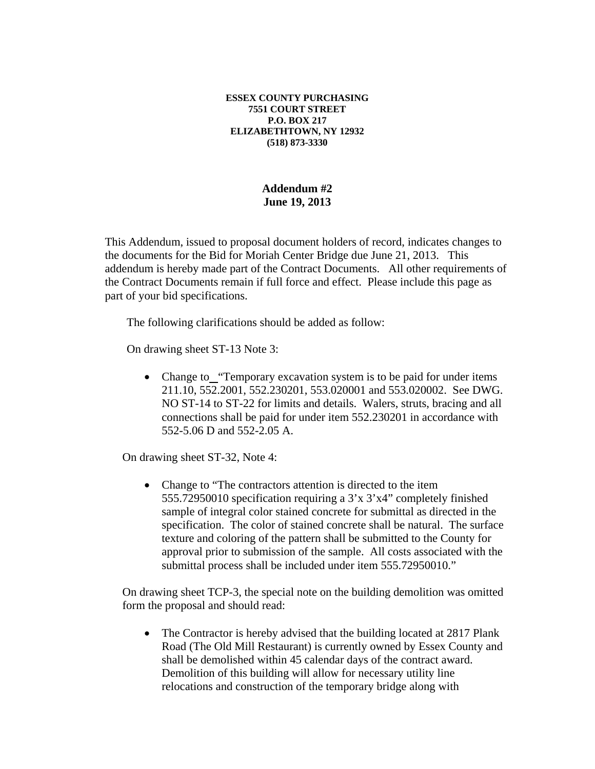## **ESSEX COUNTY PURCHASING 7551 COURT STREET P.O. BOX 217 ELIZABETHTOWN, NY 12932 (518) 873-3330**

## **Addendum #2 June 19, 2013**

This Addendum, issued to proposal document holders of record, indicates changes to the documents for the Bid for Moriah Center Bridge due June 21, 2013. This addendum is hereby made part of the Contract Documents. All other requirements of the Contract Documents remain if full force and effect. Please include this page as part of your bid specifications.

The following clarifications should be added as follow:

On drawing sheet ST-13 Note 3:

• Change to\_"Temporary excavation system is to be paid for under items 211.10, 552.2001, 552.230201, 553.020001 and 553.020002. See DWG. NO ST-14 to ST-22 for limits and details. Walers, struts, bracing and all connections shall be paid for under item 552.230201 in accordance with 552-5.06 D and 552-2.05 A.

On drawing sheet ST-32, Note 4:

• Change to "The contractors attention is directed to the item 555.72950010 specification requiring a 3'x 3'x4" completely finished sample of integral color stained concrete for submittal as directed in the specification. The color of stained concrete shall be natural. The surface texture and coloring of the pattern shall be submitted to the County for approval prior to submission of the sample. All costs associated with the submittal process shall be included under item 555.72950010."

On drawing sheet TCP-3, the special note on the building demolition was omitted form the proposal and should read:

• The Contractor is hereby advised that the building located at 2817 Plank Road (The Old Mill Restaurant) is currently owned by Essex County and shall be demolished within 45 calendar days of the contract award. Demolition of this building will allow for necessary utility line relocations and construction of the temporary bridge along with